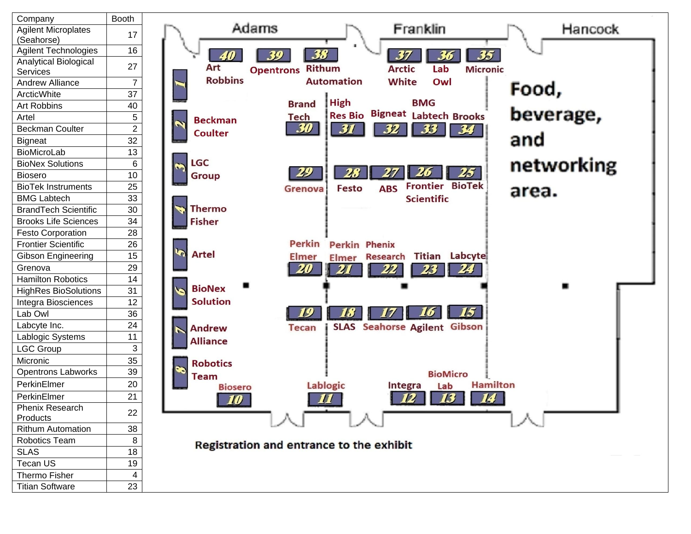